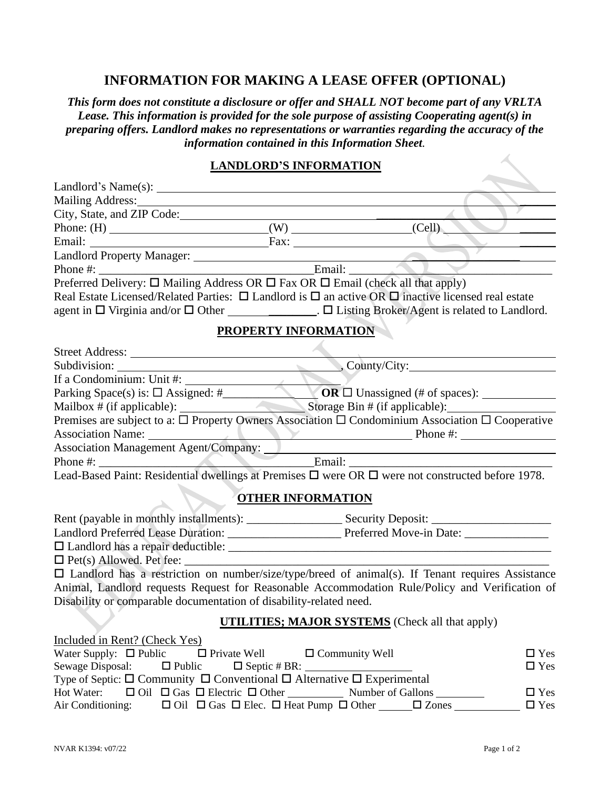## **INFORMATION FOR MAKING A LEASE OFFER (OPTIONAL)**

*This form does not constitute a disclosure or offer and SHALL NOT become part of any VRLTA Lease. This information is provided for the sole purpose of assisting Cooperating agent(s) in preparing offers. Landlord makes no representations or warranties regarding the accuracy of the information contained in this Information Sheet.*

## **LANDLORD'S INFORMATION**

| City, State, and ZIP Code:                                                                                                        |                                                                               |               |  |  |  |
|-----------------------------------------------------------------------------------------------------------------------------------|-------------------------------------------------------------------------------|---------------|--|--|--|
| Phone: $(H)$ (W) (Cell)                                                                                                           |                                                                               |               |  |  |  |
| Email: Fax: Fax:                                                                                                                  |                                                                               |               |  |  |  |
|                                                                                                                                   |                                                                               |               |  |  |  |
|                                                                                                                                   |                                                                               |               |  |  |  |
| Preferred Delivery: $\square$ Mailing Address OR $\square$ Fax OR $\square$ Email (check all that apply)                          |                                                                               |               |  |  |  |
| Real Estate Licensed/Related Parties: $\Box$ Landlord is $\Box$ an active OR $\Box$ inactive licensed real estate                 |                                                                               |               |  |  |  |
| agent in □ Virginia and/or □ Other ______________. □ Listing Broker/Agent is related to Landlord.                                 |                                                                               |               |  |  |  |
| <b>PROPERTY INFORMATION</b>                                                                                                       |                                                                               |               |  |  |  |
|                                                                                                                                   |                                                                               |               |  |  |  |
| Subdivision: County/City:                                                                                                         |                                                                               |               |  |  |  |
| If a Condominium: Unit #:<br>Parking Space(s) is: $\Box$ Assigned: #<br>Mailbox # (if applicable): Storage Bin # (if applicable): |                                                                               |               |  |  |  |
|                                                                                                                                   |                                                                               |               |  |  |  |
|                                                                                                                                   |                                                                               |               |  |  |  |
| Premises are subject to a: $\Box$ Property Owners Association $\Box$ Condominium Association $\Box$ Cooperative                   |                                                                               |               |  |  |  |
| Association Name: Phone #:                                                                                                        |                                                                               |               |  |  |  |
|                                                                                                                                   |                                                                               |               |  |  |  |
| Association Management Agent/Company: Email: Email:                                                                               |                                                                               |               |  |  |  |
| Lead-Based Paint: Residential dwellings at Premises □ were OR □ were not constructed before 1978.                                 |                                                                               |               |  |  |  |
|                                                                                                                                   | <b>OTHER INFORMATION</b>                                                      |               |  |  |  |
|                                                                                                                                   |                                                                               |               |  |  |  |
|                                                                                                                                   |                                                                               |               |  |  |  |
|                                                                                                                                   |                                                                               |               |  |  |  |
|                                                                                                                                   |                                                                               |               |  |  |  |
| $\square$ Landlord has a restriction on number/size/type/breed of animal(s). If Tenant requires Assistance                        |                                                                               |               |  |  |  |
| Animal, Landlord requests Request for Reasonable Accommodation Rule/Policy and Verification of                                    |                                                                               |               |  |  |  |
| Disability or comparable documentation of disability-related need.                                                                |                                                                               |               |  |  |  |
|                                                                                                                                   |                                                                               |               |  |  |  |
|                                                                                                                                   | <b>UTILITIES; MAJOR SYSTEMS</b> (Check all that apply)                        |               |  |  |  |
| Included in Rent? (Check Yes)                                                                                                     |                                                                               |               |  |  |  |
| Water Supply: $\Box$ Public<br>$\Box$ Private Well                                                                                | $\Box$ Community Well                                                         | $\square$ Yes |  |  |  |
| Sewage Disposal:<br>$\Box$ Public                                                                                                 | $\Box$ Septic # BR: $\_\_\_\_\_\_\_\_\_\_\_\_\_\_\_\_\_\_\_\_\_$              | $\square$ Yes |  |  |  |
| Type of Septic: $\square$ Community $\square$ Conventional $\square$ Alternative $\square$ Experimental                           |                                                                               |               |  |  |  |
| Hot Water:                                                                                                                        | $\Box$ Oil $\Box$ Gas $\Box$ Electric $\Box$ Other Number of Gallons          | $\Box$ Yes    |  |  |  |
| Air Conditioning:                                                                                                                 | $\Box$ Oil $\Box$ Gas $\Box$ Elec. $\Box$ Heat Pump $\Box$ Other $\Box$ Zones | $\Box$ Yes    |  |  |  |